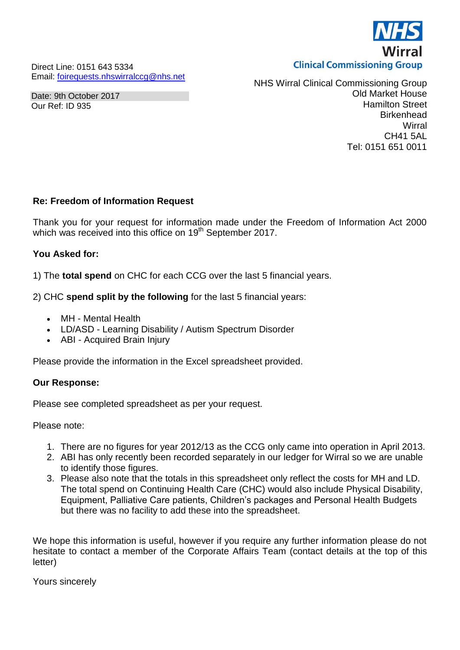

Direct Line: 0151 643 5334 Email: [foirequests.nhswirralccg@nhs.net](mailto:foirequests.nhswirralccg@nhs.net)

Date: 9th October 2017 Our Ref: ID 935

NHS Wirral Clinical Commissioning Group Old Market House Hamilton Street **Birkenhead Wirral** CH41 5AL Tel: 0151 651 0011

## **Re: Freedom of Information Request**

Thank you for your request for information made under the Freedom of Information Act 2000 which was received into this office on 19<sup>th</sup> September 2017.

## **You Asked for:**

1) The **total spend** on CHC for each CCG over the last 5 financial years.

2) CHC **spend split by the following** for the last 5 financial years:

- MH Mental Health
- LD/ASD Learning Disability / Autism Spectrum Disorder
- ABI Acquired Brain Injury

Please provide the information in the Excel spreadsheet provided.

## **Our Response:**

Please see completed spreadsheet as per your request.

Please note:

- 1. There are no figures for year 2012/13 as the CCG only came into operation in April 2013.
- 2. ABI has only recently been recorded separately in our ledger for Wirral so we are unable to identify those figures.
- 3. Please also note that the totals in this spreadsheet only reflect the costs for MH and LD. The total spend on Continuing Health Care (CHC) would also include Physical Disability, Equipment, Palliative Care patients, Children's packages and Personal Health Budgets but there was no facility to add these into the spreadsheet.

We hope this information is useful, however if you require any further information please do not hesitate to contact a member of the Corporate Affairs Team (contact details at the top of this letter)

Yours sincerely